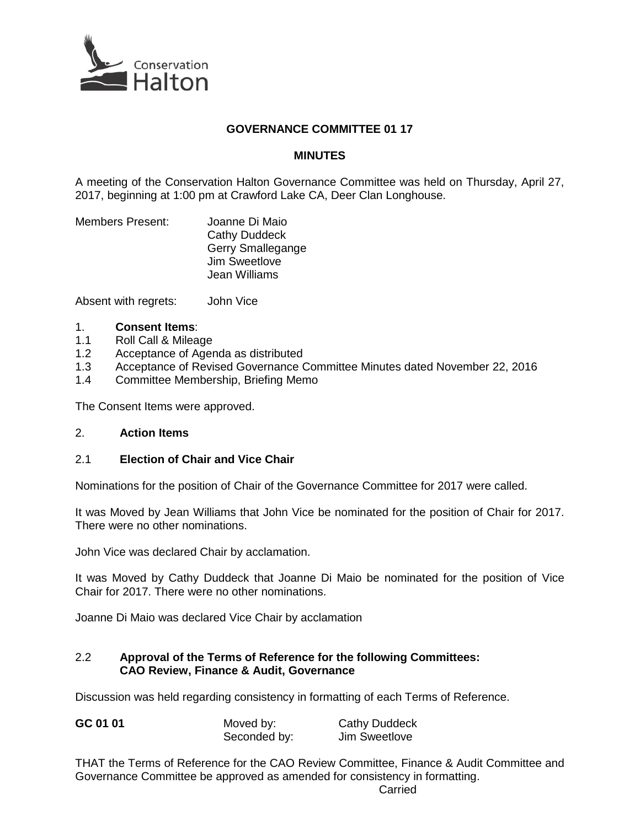

## **GOVERNANCE COMMITTEE 01 17**

## **MINUTES**

A meeting of the Conservation Halton Governance Committee was held on Thursday, April 27, 2017, beginning at 1:00 pm at Crawford Lake CA, Deer Clan Longhouse.

Members Present: Joanne Di Maio Cathy Duddeck Gerry Smallegange Jim Sweetlove Jean Williams

Absent with regrets: John Vice

### 1. **Consent Items**:

- 1.1 Roll Call & Mileage
- 1.2 Acceptance of Agenda as distributed
- 1.3 Acceptance of Revised Governance Committee Minutes dated November 22, 2016<br>1.4 Committee Membership. Briefing Memo
- Committee Membership, Briefing Memo

The Consent Items were approved.

### 2. **Action Items**

### 2.1 **Election of Chair and Vice Chair**

Nominations for the position of Chair of the Governance Committee for 2017 were called.

It was Moved by Jean Williams that John Vice be nominated for the position of Chair for 2017. There were no other nominations.

John Vice was declared Chair by acclamation.

It was Moved by Cathy Duddeck that Joanne Di Maio be nominated for the position of Vice Chair for 2017. There were no other nominations.

Joanne Di Maio was declared Vice Chair by acclamation

## 2.2 **Approval of the Terms of Reference for the following Committees: CAO Review, Finance & Audit, Governance**

Discussion was held regarding consistency in formatting of each Terms of Reference.

| GC 01 01 | Moved by:    | <b>Cathy Duddeck</b> |
|----------|--------------|----------------------|
|          | Seconded by: | Jim Sweetlove        |

THAT the Terms of Reference for the CAO Review Committee, Finance & Audit Committee and Governance Committee be approved as amended for consistency in formatting.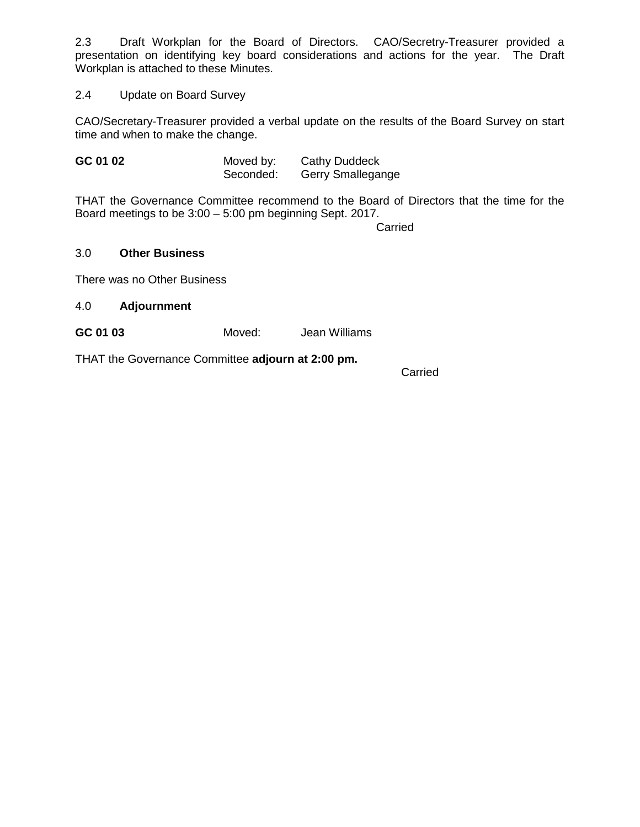2.3 Draft Workplan for the Board of Directors. CAO/Secretry-Treasurer provided a presentation on identifying key board considerations and actions for the year. The Draft Workplan is attached to these Minutes.

2.4 Update on Board Survey

CAO/Secretary-Treasurer provided a verbal update on the results of the Board Survey on start time and when to make the change.

**GC 01 02** Moved by: Cathy Duddeck<br>Seconded: Gerry Smallegar Gerry Smallegange

THAT the Governance Committee recommend to the Board of Directors that the time for the Board meetings to be 3:00 – 5:00 pm beginning Sept. 2017.

Carried

## 3.0 **Other Business**

There was no Other Business

## 4.0 **Adjournment**

**GC 01 03** Moved: Jean Williams

THAT the Governance Committee **adjourn at 2:00 pm.**

Carried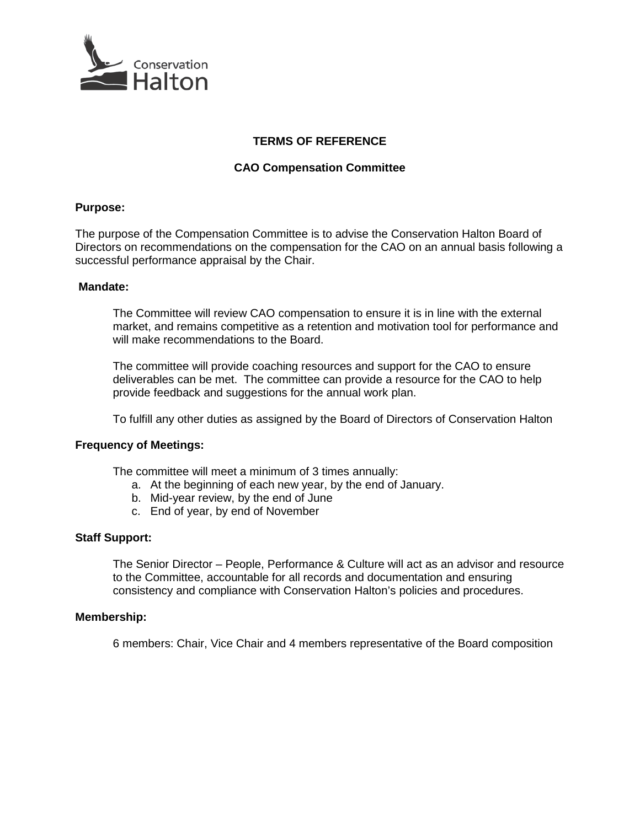

# **TERMS OF REFERENCE**

## **CAO Compensation Committee**

### **Purpose:**

The purpose of the Compensation Committee is to advise the Conservation Halton Board of Directors on recommendations on the compensation for the CAO on an annual basis following a successful performance appraisal by the Chair.

### **Mandate:**

The Committee will review CAO compensation to ensure it is in line with the external market, and remains competitive as a retention and motivation tool for performance and will make recommendations to the Board.

The committee will provide coaching resources and support for the CAO to ensure deliverables can be met. The committee can provide a resource for the CAO to help provide feedback and suggestions for the annual work plan.

To fulfill any other duties as assigned by the Board of Directors of Conservation Halton

### **Frequency of Meetings:**

The committee will meet a minimum of 3 times annually:

- a. At the beginning of each new year, by the end of January.
- b. Mid-year review, by the end of June
- c. End of year, by end of November

### **Staff Support:**

The Senior Director – People, Performance & Culture will act as an advisor and resource to the Committee, accountable for all records and documentation and ensuring consistency and compliance with Conservation Halton's policies and procedures.

#### **Membership:**

6 members: Chair, Vice Chair and 4 members representative of the Board composition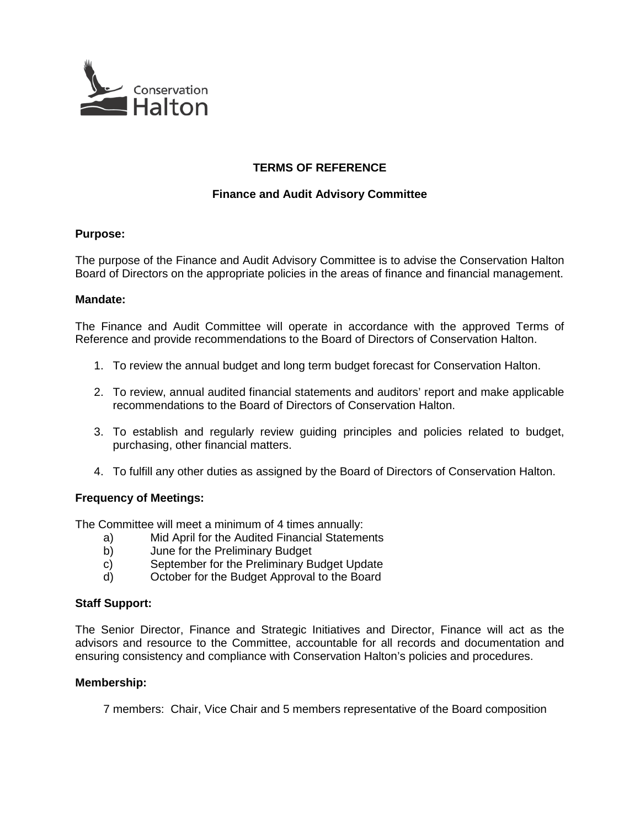

# **TERMS OF REFERENCE**

## **Finance and Audit Advisory Committee**

## **Purpose:**

The purpose of the Finance and Audit Advisory Committee is to advise the Conservation Halton Board of Directors on the appropriate policies in the areas of finance and financial management.

### **Mandate:**

The Finance and Audit Committee will operate in accordance with the approved Terms of Reference and provide recommendations to the Board of Directors of Conservation Halton.

- 1. To review the annual budget and long term budget forecast for Conservation Halton.
- 2. To review, annual audited financial statements and auditors' report and make applicable recommendations to the Board of Directors of Conservation Halton.
- 3. To establish and regularly review guiding principles and policies related to budget, purchasing, other financial matters.
- 4. To fulfill any other duties as assigned by the Board of Directors of Conservation Halton.

### **Frequency of Meetings:**

The Committee will meet a minimum of 4 times annually:

- a) Mid April for the Audited Financial Statements<br>b) June for the Preliminary Budget
- b) June for the Preliminary Budget
- c) September for the Preliminary Budget Update
- d) October for the Budget Approval to the Board

### **Staff Support:**

The Senior Director, Finance and Strategic Initiatives and Director, Finance will act as the advisors and resource to the Committee, accountable for all records and documentation and ensuring consistency and compliance with Conservation Halton's policies and procedures.

### **Membership:**

7 members: Chair, Vice Chair and 5 members representative of the Board composition